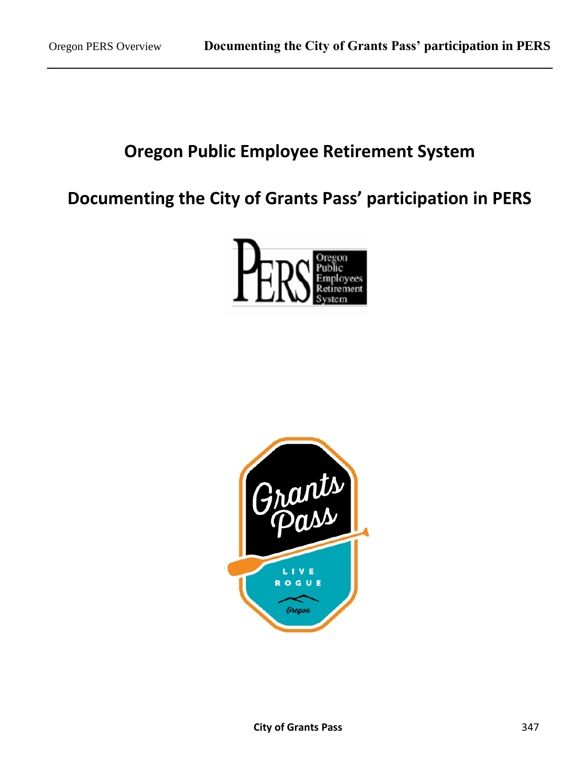# **Oregon Public Employee Retirement System**

# **Documenting the City of Grants Pass' participation in PERS**



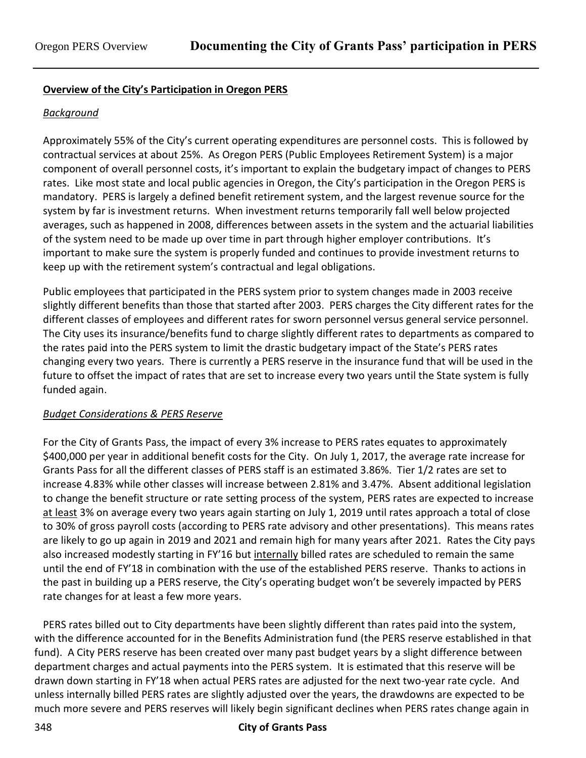### **Overview of the City's Participation in Oregon PERS**

### *Background*

Approximately 55% of the City's current operating expenditures are personnel costs. This is followed by contractual services at about 25%. As Oregon PERS (Public Employees Retirement System) is a major component of overall personnel costs, it's important to explain the budgetary impact of changes to PERS rates. Like most state and local public agencies in Oregon, the City's participation in the Oregon PERS is mandatory. PERS is largely a defined benefit retirement system, and the largest revenue source for the system by far is investment returns. When investment returns temporarily fall well below projected averages, such as happened in 2008, differences between assets in the system and the actuarial liabilities of the system need to be made up over time in part through higher employer contributions. It's important to make sure the system is properly funded and continues to provide investment returns to keep up with the retirement system's contractual and legal obligations.

Public employees that participated in the PERS system prior to system changes made in 2003 receive slightly different benefits than those that started after 2003. PERS charges the City different rates for the different classes of employees and different rates for sworn personnel versus general service personnel. The City uses its insurance/benefits fund to charge slightly different rates to departments as compared to the rates paid into the PERS system to limit the drastic budgetary impact of the State's PERS rates changing every two years. There is currently a PERS reserve in the insurance fund that will be used in the future to offset the impact of rates that are set to increase every two years until the State system is fully funded again.

### *Budget Considerations & PERS Reserve*

For the City of Grants Pass, the impact of every 3% increase to PERS rates equates to approximately \$400,000 per year in additional benefit costs for the City. On July 1, 2017, the average rate increase for Grants Pass for all the different classes of PERS staff is an estimated 3.86%. Tier 1/2 rates are set to increase 4.83% while other classes will increase between 2.81% and 3.47%. Absent additional legislation to change the benefit structure or rate setting process of the system, PERS rates are expected to increase at least 3% on average every two years again starting on July 1, 2019 until rates approach a total of close to 30% of gross payroll costs (according to PERS rate advisory and other presentations). This means rates are likely to go up again in 2019 and 2021 and remain high for many years after 2021. Rates the City pays also increased modestly starting in FY'16 but internally billed rates are scheduled to remain the same until the end of FY'18 in combination with the use of the established PERS reserve. Thanks to actions in the past in building up a PERS reserve, the City's operating budget won't be severely impacted by PERS rate changes for at least a few more years.

PERS rates billed out to City departments have been slightly different than rates paid into the system, with the difference accounted for in the Benefits Administration fund (the PERS reserve established in that fund). A City PERS reserve has been created over many past budget years by a slight difference between department charges and actual payments into the PERS system. It is estimated that this reserve will be drawn down starting in FY'18 when actual PERS rates are adjusted for the next two-year rate cycle. And unless internally billed PERS rates are slightly adjusted over the years, the drawdowns are expected to be much more severe and PERS reserves will likely begin significant declines when PERS rates change again in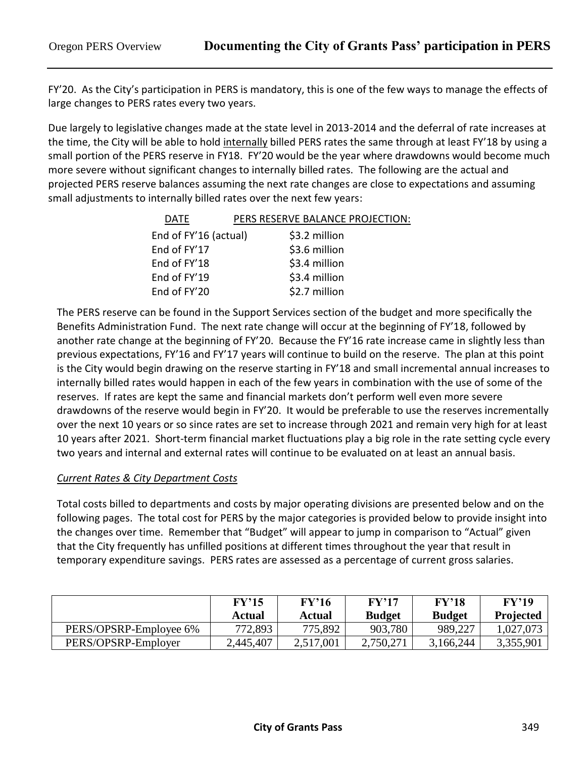FY'20. As the City's participation in PERS is mandatory, this is one of the few ways to manage the effects of large changes to PERS rates every two years.

Due largely to legislative changes made at the state level in 2013-2014 and the deferral of rate increases at the time, the City will be able to hold internally billed PERS rates the same through at least FY'18 by using a small portion of the PERS reserve in FY18. FY'20 would be the year where drawdowns would become much more severe without significant changes to internally billed rates. The following are the actual and projected PERS reserve balances assuming the next rate changes are close to expectations and assuming small adjustments to internally billed rates over the next few years:

| <b>DATE</b>           | PERS RESERVE BALANCE PROJECTION: |
|-----------------------|----------------------------------|
| End of FY'16 (actual) | \$3.2 million                    |
| End of FY'17          | \$3.6 million                    |
| End of FY'18          | \$3.4 million                    |
| End of FY'19          | \$3.4 million                    |
| End of FY'20          | \$2.7 million                    |

The PERS reserve can be found in the Support Services section of the budget and more specifically the Benefits Administration Fund. The next rate change will occur at the beginning of FY'18, followed by another rate change at the beginning of FY'20. Because the FY'16 rate increase came in slightly less than previous expectations, FY'16 and FY'17 years will continue to build on the reserve. The plan at this point is the City would begin drawing on the reserve starting in FY'18 and small incremental annual increases to internally billed rates would happen in each of the few years in combination with the use of some of the reserves. If rates are kept the same and financial markets don't perform well even more severe drawdowns of the reserve would begin in FY'20. It would be preferable to use the reserves incrementally over the next 10 years or so since rates are set to increase through 2021 and remain very high for at least 10 years after 2021. Short-term financial market fluctuations play a big role in the rate setting cycle every two years and internal and external rates will continue to be evaluated on at least an annual basis.

## *Current Rates & City Department Costs*

Total costs billed to departments and costs by major operating divisions are presented below and on the following pages. The total cost for PERS by the major categories is provided below to provide insight into the changes over time. Remember that "Budget" will appear to jump in comparison to "Actual" given that the City frequently has unfilled positions at different times throughout the year that result in temporary expenditure savings. PERS rates are assessed as a percentage of current gross salaries.

|                        | FY'15<br>Actual | FY'16<br>Actual | $\rm FV'17$<br><b>Budget</b> | FY'18<br><b>Budget</b> | FY'19<br><b>Projected</b> |
|------------------------|-----------------|-----------------|------------------------------|------------------------|---------------------------|
| PERS/OPSRP-Employee 6% | 772,893         | 775,892         | 903,780                      | 989,227                | 1,027,073                 |
| PERS/OPSRP-Employer    | 2,445,407       | 2,517,001       | 2,750,271                    | 3,166,244              | 3,355,901                 |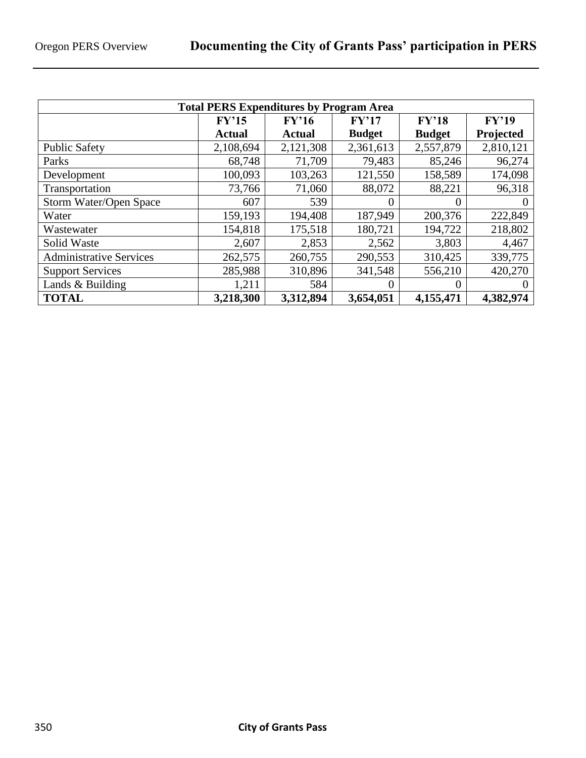| <b>Total PERS Expenditures by Program Area</b> |               |               |               |               |           |  |  |
|------------------------------------------------|---------------|---------------|---------------|---------------|-----------|--|--|
|                                                | FY'15         | FY'16         | FY'17         | FY'18         | FY'19     |  |  |
|                                                | <b>Actual</b> | <b>Actual</b> | <b>Budget</b> | <b>Budget</b> | Projected |  |  |
| <b>Public Safety</b>                           | 2,108,694     | 2,121,308     | 2,361,613     | 2,557,879     | 2,810,121 |  |  |
| Parks                                          | 68,748        | 71,709        | 79,483        | 85,246        | 96,274    |  |  |
| Development                                    | 100,093       | 103,263       | 121,550       | 158,589       | 174,098   |  |  |
| Transportation                                 | 73,766        | 71,060        | 88,072        | 88,221        | 96,318    |  |  |
| Storm Water/Open Space                         | 607           | 539           | $\theta$      | $_{0}$        | $\theta$  |  |  |
| Water                                          | 159,193       | 194,408       | 187,949       | 200,376       | 222,849   |  |  |
| Wastewater                                     | 154,818       | 175,518       | 180,721       | 194,722       | 218,802   |  |  |
| Solid Waste                                    | 2,607         | 2,853         | 2,562         | 3,803         | 4,467     |  |  |
| <b>Administrative Services</b>                 | 262,575       | 260,755       | 290,553       | 310,425       | 339,775   |  |  |
| <b>Support Services</b>                        | 285,988       | 310,896       | 341,548       | 556,210       | 420,270   |  |  |
| Lands & Building                               | 1,211         | 584           | $\theta$      | 0             | $\theta$  |  |  |
| <b>TOTAL</b>                                   | 3,218,300     | 3,312,894     | 3,654,051     | 4,155,471     | 4,382,974 |  |  |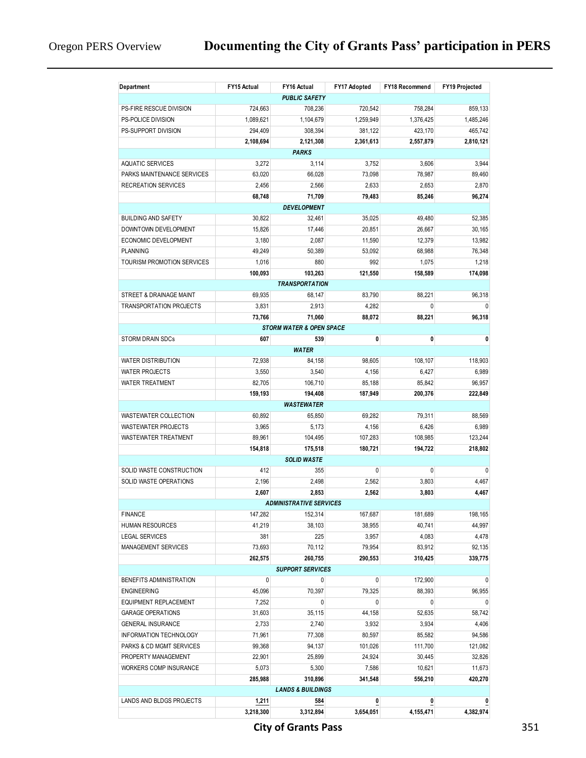| Department                        | FY15 Actual | FY16 Actual                         | FY17 Adopted       | FY18 Recommend     | <b>FY19 Projected</b> |
|-----------------------------------|-------------|-------------------------------------|--------------------|--------------------|-----------------------|
|                                   |             | <b>PUBLIC SAFETY</b>                |                    |                    |                       |
| PS-FIRE RESCUE DIVISION           | 724,663     | 708,236                             | 720,542            | 758,284            | 859,133               |
| PS-POLICE DIVISION                | 1,089,621   | 1,104,679                           | 1,259,949          | 1,376,425          | 1,485,246             |
| PS-SUPPORT DIVISION               | 294,409     | 308,394                             | 381,122            | 423,170            | 465.742               |
|                                   | 2,108,694   | 2,121,308                           | 2,361,613          | 2,557,879          | 2,810,121             |
|                                   |             | <b>PARKS</b>                        |                    |                    |                       |
| <b>AQUATIC SERVICES</b>           | 3,272       | 3,114                               | 3,752              | 3,606              | 3,944                 |
| PARKS MAINTENANCE SERVICES        | 63,020      | 66,028                              | 73,098             | 78,987             | 89,460                |
| <b>RECREATION SERVICES</b>        | 2,456       | 2,566                               | 2,633              | 2,653              | 2,870                 |
|                                   | 68,748      | 71,709                              | 79,483             | 85,246             | 96,274                |
|                                   |             | <b>DEVELOPMENT</b>                  |                    |                    |                       |
| <b>BUILDING AND SAFETY</b>        | 30,822      | 32,461                              | 35,025             | 49,480             | 52,385                |
| DOWNTOWN DEVELOPMENT              | 15,826      | 17,446                              | 20,851             | 26,667             | 30,165                |
| ECONOMIC DEVELOPMENT              | 3,180       | 2,087                               | 11,590             | 12,379             | 13,982                |
| <b>PLANNING</b>                   | 49,249      | 50,389                              | 53,092             | 68,988             | 76,348                |
| <b>TOURISM PROMOTION SERVICES</b> | 1,016       | 880                                 | 992                | 1,075              | 1,218                 |
|                                   | 100,093     | 103,263                             | 121,550            | 158,589            | 174,098               |
|                                   |             | <b>TRANSPORTATION</b>               |                    |                    |                       |
| STREET & DRAINAGE MAINT           | 69,935      | 68,147                              | 83,790             | 88,221             | 96,318                |
| TRANSPORTATION PROJECTS           | 3,831       | 2,913                               | 4,282              | $\mathbf 0$        | $\mathbf{0}$          |
|                                   | 73.766      | 71,060                              | 88,072             | 88,221             | 96.318                |
|                                   |             | <b>STORM WATER &amp; OPEN SPACE</b> |                    |                    |                       |
| <b>STORM DRAIN SDCs</b>           | 607         | 539                                 | 0                  | 0                  | 0                     |
|                                   |             | <b>WATER</b>                        |                    |                    |                       |
| <b>WATER DISTRIBUTION</b>         | 72,938      | 84,158                              | 98,605             | 108,107            | 118,903               |
| <b>WATER PROJECTS</b>             | 3,550       | 3,540                               | 4,156              | 6,427              | 6,989                 |
| <b>WATER TREATMENT</b>            | 82,705      | 106,710                             | 85,188             | 85,842             | 96,957                |
|                                   | 159,193     | 194,408                             | 187,949            | 200,376            | 222,849               |
|                                   |             | <b>WASTEWATER</b>                   |                    |                    |                       |
| WASTEWATER COLLECTION             | 60,892      | 65,850                              | 69,282             | 79,311             | 88,569                |
| <b>WASTEWATER PROJECTS</b>        | 3,965       | 5,173                               | 4,156              | 6,426              | 6,989                 |
| WASTEWATER TREATMENT              | 89,961      | 104,495                             | 107,283<br>180,721 | 108,985<br>194,722 | 123,244               |
|                                   | 154,818     | 175,518<br><b>SOLID WASTE</b>       |                    |                    | 218,802               |
| SOLID WASTE CONSTRUCTION          | 412         | 355                                 | 0                  | 0                  | $\mathbf{0}$          |
| SOLID WASTE OPERATIONS            | 2,196       | 2,498                               | 2,562              | 3,803              | 4,467                 |
|                                   | 2,607       | 2,853                               | 2,562              | 3,803              | 4,467                 |
|                                   |             | <b>ADMINISTRATIVE SERVICES</b>      |                    |                    |                       |
| <b>FINANCE</b>                    | 147,282     | 152,314                             | 167,687            | 181,689            | 198,165               |
| HUMAN RESOURCES                   | 41,219      | 38,103                              | 38,955             | 40,741             | 44,997                |
| <b>LEGAL SERVICES</b>             | 381         | 225                                 | 3,957              | 4,083              | 4,478                 |
| MANAGEMENT SERVICES               | 73,693      | 70,112                              | 79,954             | 83,912             | 92,135                |
|                                   | 262,575     | 260,755                             | 290,553            | 310,425            | 339,775               |
|                                   |             | <b>SUPPORT SERVICES</b>             |                    |                    |                       |
| BENEFITS ADMINISTRATION           | 0           | 0                                   | 0                  | 172,900            | 0                     |
| <b>ENGINEERING</b>                | 45,096      | 70,397                              | 79,325             | 88,393             | 96,955                |
| EQUIPMENT REPLACEMENT             | 7,252       | 0                                   | 0                  | 0                  | 0                     |
| <b>GARAGE OPERATIONS</b>          | 31,603      | 35,115                              | 44,158             | 52,635             | 58,742                |
| GENERAL INSURANCE                 | 2,733       | 2,740                               | 3,932              | 3,934              | 4,406                 |
| INFORMATION TECHNOLOGY            | 71,961      | 77,308                              | 80,597             | 85,582             | 94,586                |
| PARKS & CD MGMT SERVICES          | 99,368      | 94,137                              | 101,026            | 111,700            | 121,082               |
| PROPERTY MANAGEMENT               | 22,901      | 25,899                              | 24,924             | 30,445             | 32,826                |
| WORKERS COMP INSURANCE            | 5,073       | 5,300                               | 7,586              | 10,621             | 11,673                |
|                                   | 285,988     | 310,896                             | 341,548            | 556,210            | 420,270               |
|                                   |             | <b>LANDS &amp; BUILDINGS</b>        |                    |                    |                       |
| LANDS AND BLDGS PROJECTS          | 1,211       | 584                                 | 0                  | 0                  | 0                     |
|                                   | 3,218,300   | 3,312,894                           | 3,654,051          | 4,155,471          | 4,382,974             |

**City of Grants Pass** 351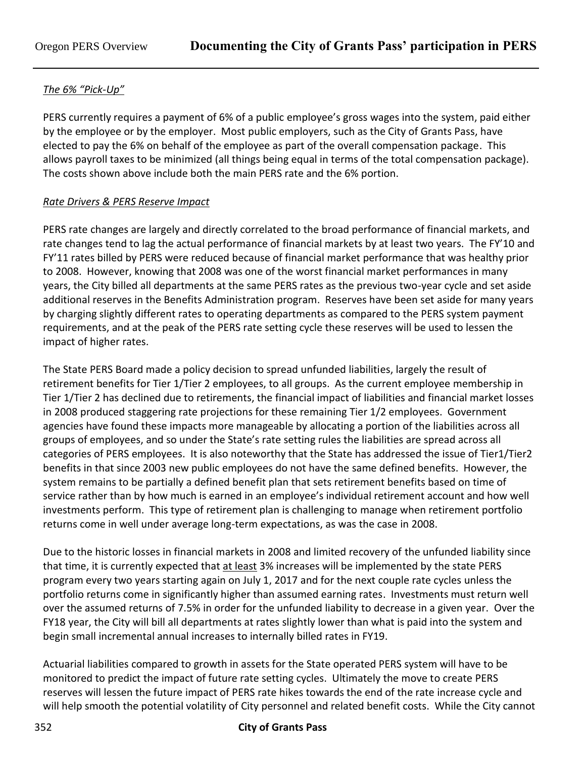# *The 6% "Pick-Up"*

PERS currently requires a payment of 6% of a public employee's gross wages into the system, paid either by the employee or by the employer. Most public employers, such as the City of Grants Pass, have elected to pay the 6% on behalf of the employee as part of the overall compensation package. This allows payroll taxes to be minimized (all things being equal in terms of the total compensation package). The costs shown above include both the main PERS rate and the 6% portion.

## *Rate Drivers & PERS Reserve Impact*

PERS rate changes are largely and directly correlated to the broad performance of financial markets, and rate changes tend to lag the actual performance of financial markets by at least two years. The FY'10 and FY'11 rates billed by PERS were reduced because of financial market performance that was healthy prior to 2008. However, knowing that 2008 was one of the worst financial market performances in many years, the City billed all departments at the same PERS rates as the previous two-year cycle and set aside additional reserves in the Benefits Administration program. Reserves have been set aside for many years by charging slightly different rates to operating departments as compared to the PERS system payment requirements, and at the peak of the PERS rate setting cycle these reserves will be used to lessen the impact of higher rates.

The State PERS Board made a policy decision to spread unfunded liabilities, largely the result of retirement benefits for Tier 1/Tier 2 employees, to all groups. As the current employee membership in Tier 1/Tier 2 has declined due to retirements, the financial impact of liabilities and financial market losses in 2008 produced staggering rate projections for these remaining Tier 1/2 employees. Government agencies have found these impacts more manageable by allocating a portion of the liabilities across all groups of employees, and so under the State's rate setting rules the liabilities are spread across all categories of PERS employees. It is also noteworthy that the State has addressed the issue of Tier1/Tier2 benefits in that since 2003 new public employees do not have the same defined benefits. However, the system remains to be partially a defined benefit plan that sets retirement benefits based on time of service rather than by how much is earned in an employee's individual retirement account and how well investments perform. This type of retirement plan is challenging to manage when retirement portfolio returns come in well under average long-term expectations, as was the case in 2008.

Due to the historic losses in financial markets in 2008 and limited recovery of the unfunded liability since that time, it is currently expected that at least 3% increases will be implemented by the state PERS program every two years starting again on July 1, 2017 and for the next couple rate cycles unless the portfolio returns come in significantly higher than assumed earning rates. Investments must return well over the assumed returns of 7.5% in order for the unfunded liability to decrease in a given year. Over the FY18 year, the City will bill all departments at rates slightly lower than what is paid into the system and begin small incremental annual increases to internally billed rates in FY19.

Actuarial liabilities compared to growth in assets for the State operated PERS system will have to be monitored to predict the impact of future rate setting cycles. Ultimately the move to create PERS reserves will lessen the future impact of PERS rate hikes towards the end of the rate increase cycle and will help smooth the potential volatility of City personnel and related benefit costs. While the City cannot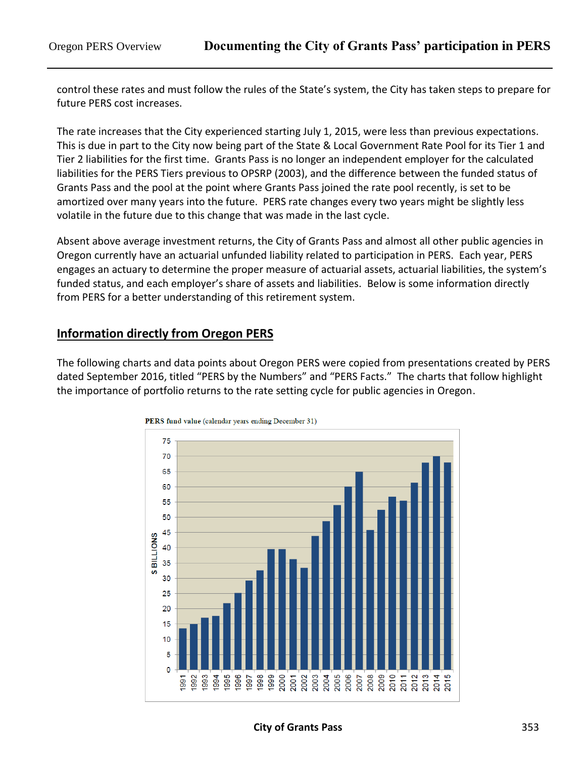control these rates and must follow the rules of the State's system, the City has taken steps to prepare for future PERS cost increases.

The rate increases that the City experienced starting July 1, 2015, were less than previous expectations. This is due in part to the City now being part of the State & Local Government Rate Pool for its Tier 1 and Tier 2 liabilities for the first time. Grants Pass is no longer an independent employer for the calculated liabilities for the PERS Tiers previous to OPSRP (2003), and the difference between the funded status of Grants Pass and the pool at the point where Grants Pass joined the rate pool recently, is set to be amortized over many years into the future. PERS rate changes every two years might be slightly less volatile in the future due to this change that was made in the last cycle.

Absent above average investment returns, the City of Grants Pass and almost all other public agencies in Oregon currently have an actuarial unfunded liability related to participation in PERS. Each year, PERS engages an actuary to determine the proper measure of actuarial assets, actuarial liabilities, the system's funded status, and each employer's share of assets and liabilities. Below is some information directly from PERS for a better understanding of this retirement system.

# **Information directly from Oregon PERS**

The following charts and data points about Oregon PERS were copied from presentations created by PERS dated September 2016, titled "PERS by the Numbers" and "PERS Facts." The charts that follow highlight the importance of portfolio returns to the rate setting cycle for public agencies in Oregon.



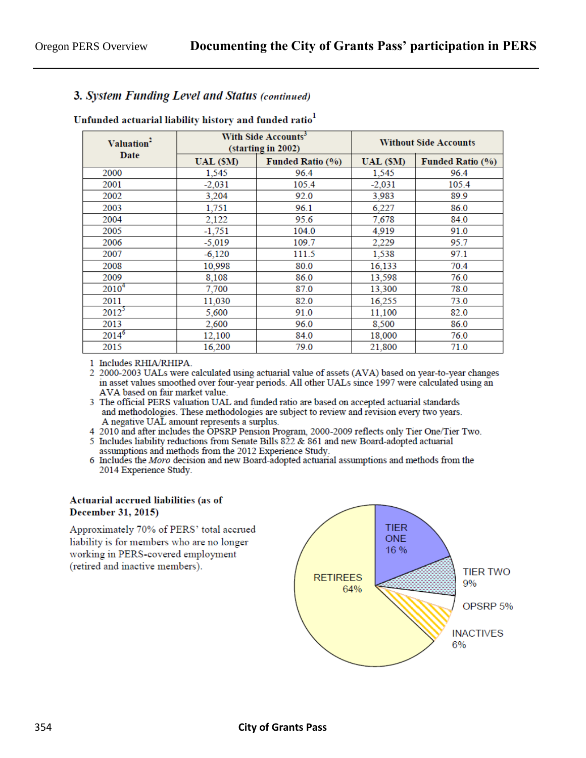### 3. System Funding Level and Status (continued)

### Unfunded actuarial liability history and funded ratio<sup>1</sup>

| Valuation <sup>2</sup><br>Date |          | With Side Accounts <sup>3</sup><br>(starting in 2002) | <b>Without Side Accounts</b> |                         |  |
|--------------------------------|----------|-------------------------------------------------------|------------------------------|-------------------------|--|
|                                | UAL (SM) | <b>Funded Ratio (%)</b>                               | UAL (\$M)                    | <b>Funded Ratio (%)</b> |  |
| 2000                           | 1,545    | 96.4                                                  | 1,545                        | 96.4                    |  |
| 2001                           | $-2,031$ | 105.4                                                 | $-2.031$                     | 105.4                   |  |
| 2002                           | 3,204    | 92.0                                                  | 3,983                        | 89.9                    |  |
| 2003                           | 1,751    | 96.1                                                  | 6,227                        | 86.0                    |  |
| 2004                           | 2,122    | 95.6                                                  | 7,678                        | 84.0                    |  |
| 2005                           | $-1,751$ | 104.0                                                 | 4,919                        | 91.0                    |  |
| 2006                           | $-5,019$ | 109.7                                                 | 2,229                        | 95.7                    |  |
| 2007                           | $-6,120$ | 111.5                                                 | 1,538                        | 97.1                    |  |
| 2008                           | 10,998   | 80.0                                                  | 16,133                       | 70.4                    |  |
| 2009                           | 8,108    | 86.0                                                  | 13,598                       | 76.0                    |  |
| $2010^{4}$                     | 7,700    | 87.0                                                  | 13,300                       | 78.0                    |  |
| 2011                           | 11,030   | 82.0                                                  | 16,255                       | 73.0                    |  |
| $2012^5$                       | 5,600    | 91.0                                                  | 11,100                       | 82.0                    |  |
| 2013                           | 2,600    | 96.0                                                  | 8,500                        | 86.0                    |  |
| $2014^6$                       | 12,100   | 84.0                                                  | 18,000                       | 76.0                    |  |
| 2015                           | 16,200   | 79.0                                                  | 21,800                       | 71.0                    |  |

1 Includes RHIA/RHIPA.

2 2000-2003 UALs were calculated using actuarial value of assets (AVA) based on year-to-year changes in asset values smoothed over four-year periods. All other UALs since 1997 were calculated using an AVA based on fair market value.

3 The official PERS valuation UAL and funded ratio are based on accepted actuarial standards and methodologies. These methodologies are subject to review and revision every two years. A negative UAL amount represents a surplus.

4 2010 and after includes the OPSRP Pension Program, 2000-2009 reflects only Tier One/Tier Two.

5 Includes liability reductions from Senate Bills 822 & 861 and new Board-adopted actuarial assumptions and methods from the 2012 Experience Study.

6 Includes the Moro decision and new Board-adopted actuarial assumptions and methods from the 2014 Experience Study.

#### Actuarial accrued liabilities (as of December 31, 2015)

Approximately 70% of PERS' total accrued liability is for members who are no longer working in PERS-covered employment (retired and inactive members).

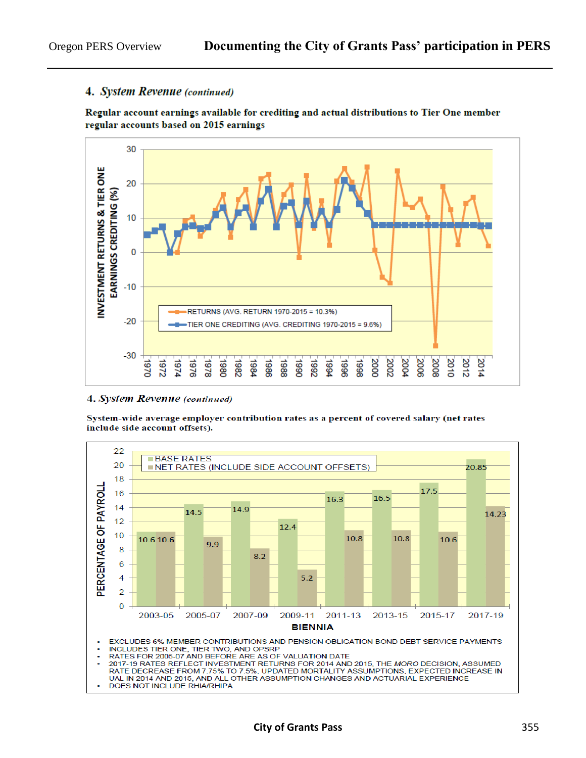### 4. System Revenue (continued)

Regular account earnings available for crediting and actual distributions to Tier One member regular accounts based on 2015 earnings



#### 4. System Revenue (continued)

System-wide average employer contribution rates as a percent of covered salary (net rates include side account offsets).